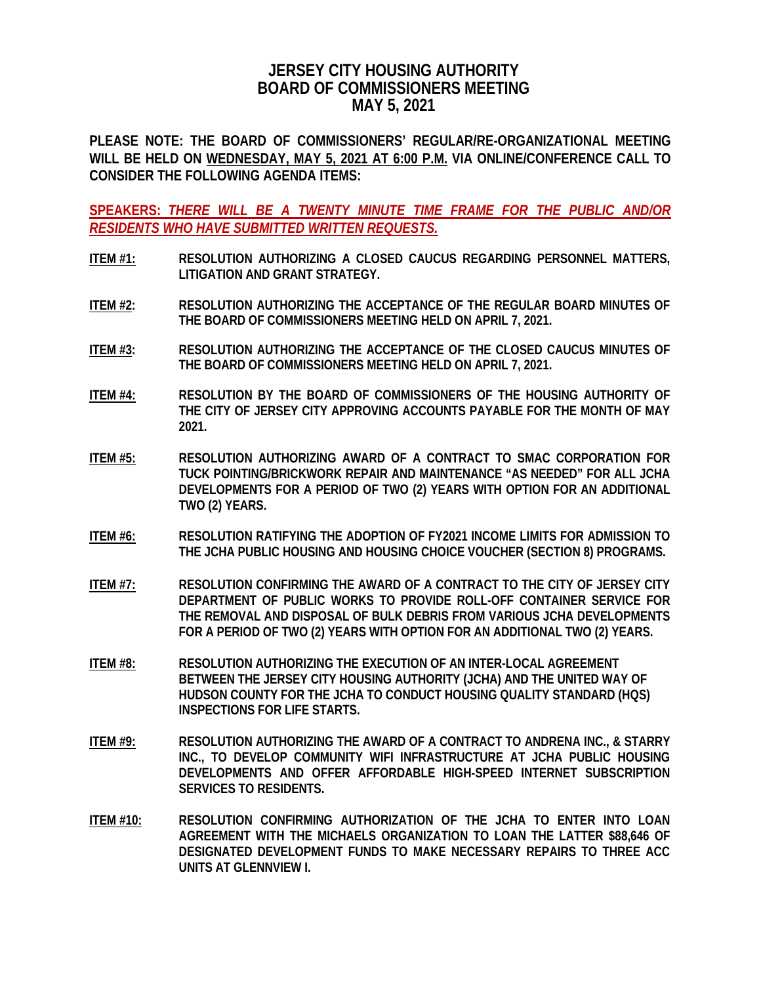## **JERSEY CITY HOUSING AUTHORITY BOARD OF COMMISSIONERS MEETING MAY 5, 2021**

**PLEASE NOTE: THE BOARD OF COMMISSIONERS' REGULAR/RE-ORGANIZATIONAL MEETING WILL BE HELD ON WEDNESDAY, MAY 5, 2021 AT 6:00 P.M. VIA ONLINE/CONFERENCE CALL TO CONSIDER THE FOLLOWING AGENDA ITEMS:**

**SPEAKERS:** *THERE WILL BE A TWENTY MINUTE TIME FRAME FOR THE PUBLIC AND/OR RESIDENTS WHO HAVE SUBMITTED WRITTEN REQUESTS.*

- **ITEM #1: RESOLUTION AUTHORIZING A CLOSED CAUCUS REGARDING PERSONNEL MATTERS, LITIGATION AND GRANT STRATEGY.**
- **ITEM #2: RESOLUTION AUTHORIZING THE ACCEPTANCE OF THE REGULAR BOARD MINUTES OF THE BOARD OF COMMISSIONERS MEETING HELD ON APRIL 7, 2021.**
- **ITEM #3: RESOLUTION AUTHORIZING THE ACCEPTANCE OF THE CLOSED CAUCUS MINUTES OF THE BOARD OF COMMISSIONERS MEETING HELD ON APRIL 7, 2021.**
- **ITEM #4: RESOLUTION BY THE BOARD OF COMMISSIONERS OF THE HOUSING AUTHORITY OF THE CITY OF JERSEY CITY APPROVING ACCOUNTS PAYABLE FOR THE MONTH OF MAY 2021.**
- **ITEM #5: RESOLUTION AUTHORIZING AWARD OF A CONTRACT TO SMAC CORPORATION FOR TUCK POINTING/BRICKWORK REPAIR AND MAINTENANCE "AS NEEDED" FOR ALL JCHA DEVELOPMENTS FOR A PERIOD OF TWO (2) YEARS WITH OPTION FOR AN ADDITIONAL TWO (2) YEARS.**
- **ITEM #6: RESOLUTION RATIFYING THE ADOPTION OF FY2021 INCOME LIMITS FOR ADMISSION TO THE JCHA PUBLIC HOUSING AND HOUSING CHOICE VOUCHER (SECTION 8) PROGRAMS.**
- **ITEM #7: RESOLUTION CONFIRMING THE AWARD OF A CONTRACT TO THE CITY OF JERSEY CITY DEPARTMENT OF PUBLIC WORKS TO PROVIDE ROLL-OFF CONTAINER SERVICE FOR THE REMOVAL AND DISPOSAL OF BULK DEBRIS FROM VARIOUS JCHA DEVELOPMENTS FOR A PERIOD OF TWO (2) YEARS WITH OPTION FOR AN ADDITIONAL TWO (2) YEARS.**
- **ITEM #8: RESOLUTION AUTHORIZING THE EXECUTION OF AN INTER-LOCAL AGREEMENT BETWEEN THE JERSEY CITY HOUSING AUTHORITY (JCHA) AND THE UNITED WAY OF HUDSON COUNTY FOR THE JCHA TO CONDUCT HOUSING QUALITY STANDARD (HQS) INSPECTIONS FOR LIFE STARTS.**
- **ITEM #9: RESOLUTION AUTHORIZING THE AWARD OF A CONTRACT TO ANDRENA INC., & STARRY INC., TO DEVELOP COMMUNITY WIFI INFRASTRUCTURE AT JCHA PUBLIC HOUSING DEVELOPMENTS AND OFFER AFFORDABLE HIGH-SPEED INTERNET SUBSCRIPTION SERVICES TO RESIDENTS.**
- **ITEM #10: RESOLUTION CONFIRMING AUTHORIZATION OF THE JCHA TO ENTER INTO LOAN AGREEMENT WITH THE MICHAELS ORGANIZATION TO LOAN THE LATTER \$88,646 OF DESIGNATED DEVELOPMENT FUNDS TO MAKE NECESSARY REPAIRS TO THREE ACC UNITS AT GLENNVIEW I.**